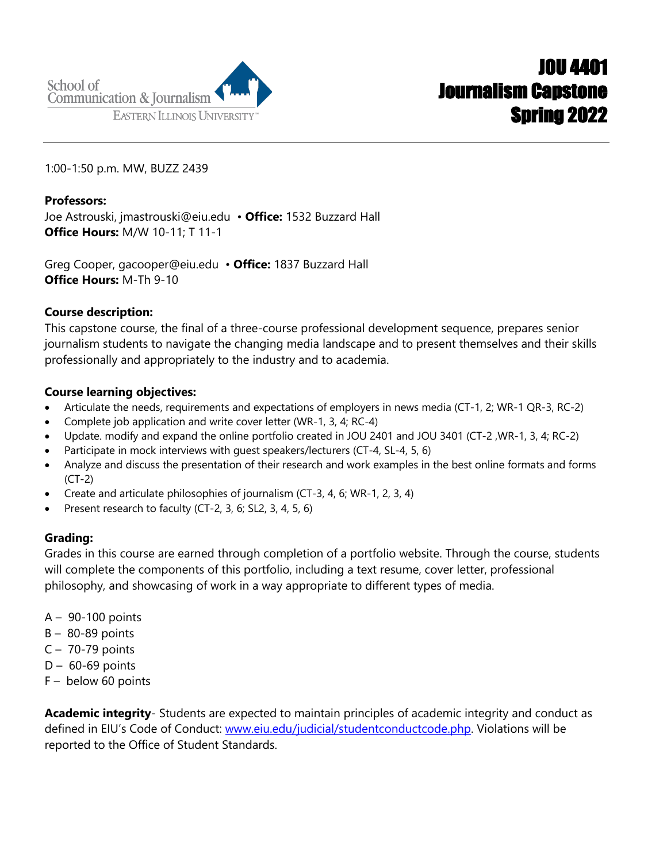1:00-1:50 p.m. MW, BUZZ 2439

**Professors:**  Joe Astrouski, jmastrouski@eiu.edu • **Office:** 1532 Buzzard Hall **Office Hours:** M/W 10-11; T 11-1

Greg Cooper, gacooper@eiu.edu • **Office:** 1837 Buzzard Hall **Office Hours:** M-Th 9-10

## **Course description:**

This capstone course, the final of a three-course professional development sequence, prepares senior journalism students to navigate the changing media landscape and to present themselves and their skills professionally and appropriately to the industry and to academia.

## **Course learning objectives:**

- Articulate the needs, requirements and expectations of employers in news media (CT-1, 2; WR-1 QR-3, RC-2)
- Complete job application and write cover letter (WR-1, 3, 4; RC-4)
- Update. modify and expand the online portfolio created in JOU 2401 and JOU 3401 (CT-2 ,WR-1, 3, 4; RC-2)
- Participate in mock interviews with guest speakers/lecturers (CT-4, SL-4, 5, 6)
- Analyze and discuss the presentation of their research and work examples in the best online formats and forms (CT-2)
- Create and articulate philosophies of journalism (CT-3, 4, 6; WR-1, 2, 3, 4)
- Present research to faculty (CT-2, 3, 6; SL2, 3, 4, 5, 6)

## **Grading:**

Grades in this course are earned through completion of a portfolio website. Through the course, students will complete the components of this portfolio, including a text resume, cover letter, professional philosophy, and showcasing of work in a way appropriate to different types of media.

- A 90-100 points
- B 80-89 points
- C 70-79 points
- $D 60 69$  points
- F below 60 points

**Academic integrity**- Students are expected to maintain principles of academic integrity and conduct as defined in EIU's Code of Conduct: www.eiu.edu/judicial/studentconductcode.php. Violations will be reported to the Office of Student Standards.